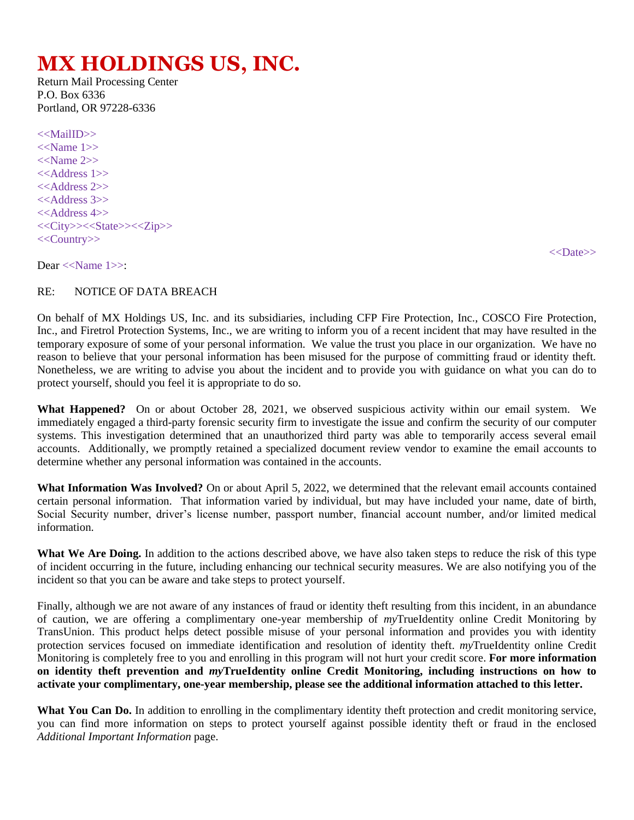## **MX HOLDINGS US, INC.**

Return Mail Processing Center P.O. Box 6336 Portland, OR 97228-6336

<<MailID>> <<Name 1>>  $<<$ Name 2>> <<Address 1>>  $<<$ Address 2>>  $<<$ Address 3>> <<Address 4>> <<City>><<State>><<Zip>> <<Country>>

<<Date>>

Dear <<Name 1>>:

## RE: NOTICE OF DATA BREACH

On behalf of MX Holdings US, Inc. and its subsidiaries, including CFP Fire Protection, Inc., COSCO Fire Protection, Inc., and Firetrol Protection Systems, Inc., we are writing to inform you of a recent incident that may have resulted in the temporary exposure of some of your personal information. We value the trust you place in our organization. We have no reason to believe that your personal information has been misused for the purpose of committing fraud or identity theft. Nonetheless, we are writing to advise you about the incident and to provide you with guidance on what you can do to protect yourself, should you feel it is appropriate to do so.

**What Happened?** On or about October 28, 2021, we observed suspicious activity within our email system. We immediately engaged a third-party forensic security firm to investigate the issue and confirm the security of our computer systems. This investigation determined that an unauthorized third party was able to temporarily access several email accounts. Additionally, we promptly retained a specialized document review vendor to examine the email accounts to determine whether any personal information was contained in the accounts.

**What Information Was Involved?** On or about April 5, 2022, we determined that the relevant email accounts contained certain personal information. That information varied by individual, but may have included your name, date of birth, Social Security number, driver's license number, passport number, financial account number, and/or limited medical information.

**What We Are Doing.** In addition to the actions described above, we have also taken steps to reduce the risk of this type of incident occurring in the future, including enhancing our technical security measures. We are also notifying you of the incident so that you can be aware and take steps to protect yourself.

Finally, although we are not aware of any instances of fraud or identity theft resulting from this incident, in an abundance of caution, we are offering a complimentary one-year membership of *my*TrueIdentity online Credit Monitoring by TransUnion. This product helps detect possible misuse of your personal information and provides you with identity protection services focused on immediate identification and resolution of identity theft. *my*TrueIdentity online Credit Monitoring is completely free to you and enrolling in this program will not hurt your credit score. **For more information on identity theft prevention and** *my***TrueIdentity online Credit Monitoring, including instructions on how to activate your complimentary, one-year membership, please see the additional information attached to this letter.**

What You Can Do. In addition to enrolling in the complimentary identity theft protection and credit monitoring service, you can find more information on steps to protect yourself against possible identity theft or fraud in the enclosed *Additional Important Information* page.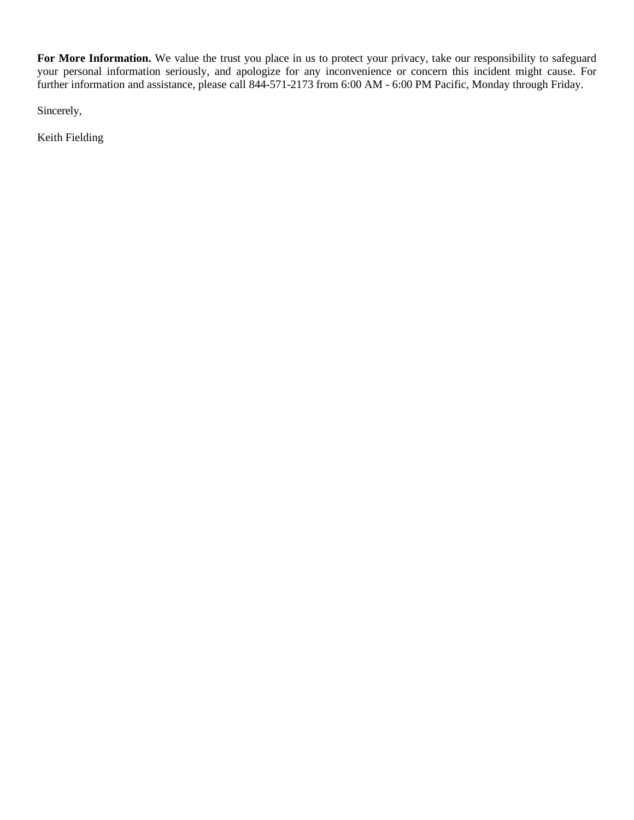For More Information. We value the trust you place in us to protect your privacy, take our responsibility to safeguard your personal information seriously, and apologize for any inconvenience or concern this incident might cause. For further information and assistance, please call 844-571-2173 from 6:00 AM - 6:00 PM Pacific, Monday through Friday.

Sincerely,

Keith Fielding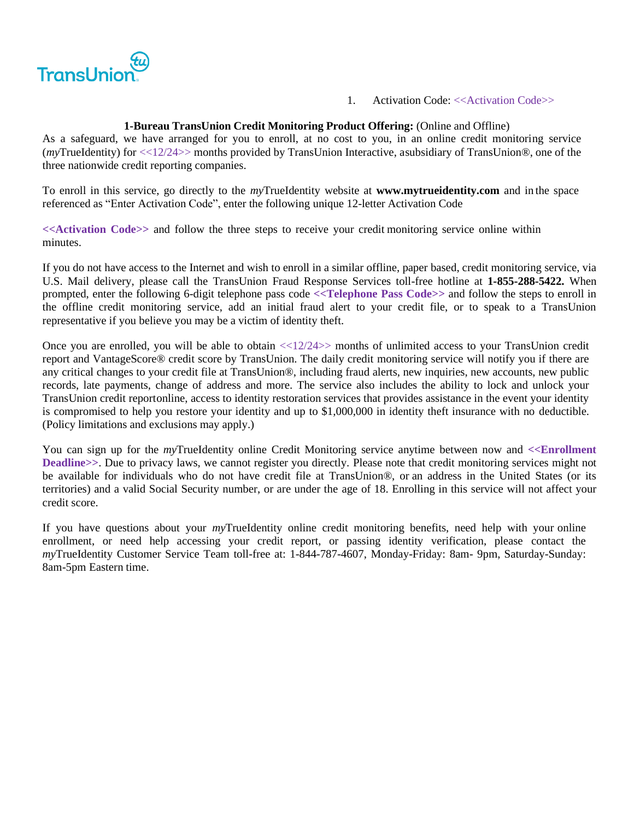

1. Activation Code: <<Activation Code>>

## **1-Bureau TransUnion Credit Monitoring Product Offering:** (Online and Offline)

As a safeguard, we have arranged for you to enroll, at no cost to you, in an online credit monitoring service (*my*TrueIdentity) for <<12/24>> months provided by TransUnion Interactive, asubsidiary of TransUnion®, one of the three nationwide credit reporting companies.

To enroll in this service, go directly to the *my*TrueIdentity website at **[www.mytrueidentity.com](http://www.mytrueidentity.com/)** and in the space referenced as "Enter Activation Code", enter the following unique 12-letter Activation Code

**<<Activation Code>>** and follow the three steps to receive your credit monitoring service online within minutes.

If you do not have access to the Internet and wish to enroll in a similar offline, paper based, credit monitoring service, via U.S. Mail delivery, please call the TransUnion Fraud Response Services toll-free hotline at **1-855-288-5422.** When prompted, enter the following 6-digit telephone pass code **<<Telephone Pass Code>>** and follow the steps to enroll in the offline credit monitoring service, add an initial fraud alert to your credit file, or to speak to a TransUnion representative if you believe you may be a victim of identity theft.

Once you are enrolled, you will be able to obtain <<12/24>> months of unlimited access to your TransUnion credit report and VantageScore® credit score by TransUnion. The daily credit monitoring service will notify you if there are any critical changes to your credit file at TransUnion®, including fraud alerts, new inquiries, new accounts, new public records, late payments, change of address and more. The service also includes the ability to lock and unlock your TransUnion credit reportonline, access to identity restoration services that provides assistance in the event your identity is compromised to help you restore your identity and up to \$1,000,000 in identity theft insurance with no deductible. (Policy limitations and exclusions may apply.)

You can sign up for the *my*TrueIdentity online Credit Monitoring service anytime between now and <<**Enrollment Deadline>>**. Due to privacy laws, we cannot register you directly. Please note that credit monitoring services might not be available for individuals who do not have credit file at TransUnion®, or an address in the United States (or its territories) and a valid Social Security number, or are under the age of 18. Enrolling in this service will not affect your credit score.

If you have questions about your *my*TrueIdentity online credit monitoring benefits, need help with your online enrollment, or need help accessing your credit report, or passing identity verification, please contact the *my*TrueIdentity Customer Service Team toll-free at: 1-844-787-4607, Monday-Friday: 8am- 9pm, Saturday-Sunday: 8am-5pm Eastern time.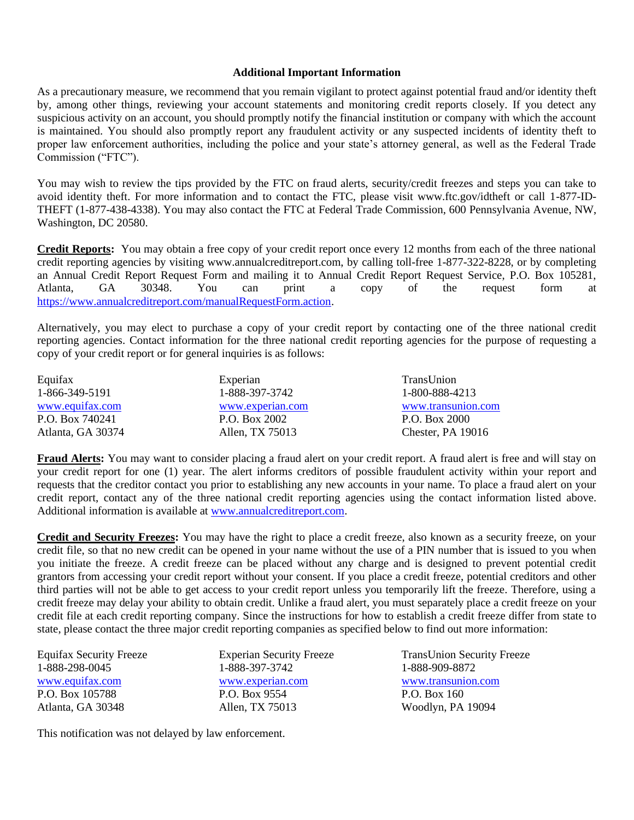## **Additional Important Information**

As a precautionary measure, we recommend that you remain vigilant to protect against potential fraud and/or identity theft by, among other things, reviewing your account statements and monitoring credit reports closely. If you detect any suspicious activity on an account, you should promptly notify the financial institution or company with which the account is maintained. You should also promptly report any fraudulent activity or any suspected incidents of identity theft to proper law enforcement authorities, including the police and your state's attorney general, as well as the Federal Trade Commission ("FTC").

You may wish to review the tips provided by the FTC on fraud alerts, security/credit freezes and steps you can take to avoid identity theft. For more information and to contact the FTC, please visit www.ftc.gov/idtheft or call 1-877-ID-THEFT (1-877-438-4338). You may also contact the FTC at Federal Trade Commission, 600 Pennsylvania Avenue, NW, Washington, DC 20580.

**Credit Reports:** You may obtain a free copy of your credit report once every 12 months from each of the three national credit reporting agencies by visiting www.annualcreditreport.com, by calling toll-free 1-877-322-8228, or by completing an Annual Credit Report Request Form and mailing it to Annual Credit Report Request Service, P.O. Box 105281, Atlanta, GA 30348. You can print a copy of the request form at [https://www.annualcreditreport.com/manualRequestForm.action.](https://www.annualcreditreport.com/manualRequestForm.action)

Alternatively, you may elect to purchase a copy of your credit report by contacting one of the three national credit reporting agencies. Contact information for the three national credit reporting agencies for the purpose of requesting a copy of your credit report or for general inquiries is as follows:

| Equifax           | Experian         | TransUnion         |
|-------------------|------------------|--------------------|
| 1-866-349-5191    | 1-888-397-3742   | 1-800-888-4213     |
| www.equifax.com   | www.experian.com | www.transunion.com |
| P.O. Box 740241   | P.O. Box 2002    | P.O. Box 2000      |
| Atlanta, GA 30374 | Allen, TX 75013  | Chester, PA 19016  |

**Fraud Alerts:** You may want to consider placing a fraud alert on your credit report. A fraud alert is free and will stay on your credit report for one (1) year. The alert informs creditors of possible fraudulent activity within your report and requests that the creditor contact you prior to establishing any new accounts in your name. To place a fraud alert on your credit report, contact any of the three national credit reporting agencies using the contact information listed above. Additional information is available a[t www.annualcreditreport.com.](http://www.annualcreditreport.com/)

**Credit and Security Freezes:** You may have the right to place a credit freeze, also known as a security freeze, on your credit file, so that no new credit can be opened in your name without the use of a PIN number that is issued to you when you initiate the freeze. A credit freeze can be placed without any charge and is designed to prevent potential credit grantors from accessing your credit report without your consent. If you place a credit freeze, potential creditors and other third parties will not be able to get access to your credit report unless you temporarily lift the freeze. Therefore, using a credit freeze may delay your ability to obtain credit. Unlike a fraud alert, you must separately place a credit freeze on your credit file at each credit reporting company. Since the instructions for how to establish a credit freeze differ from state to state, please contact the three major credit reporting companies as specified below to find out more information:

Equifax Security Freeze 1-888-298-0045 [www.equifax.com](http://www.equifax.com/) P.O. Box 105788 Atlanta, GA 30348

Experian Security Freeze 1-888-397-3742 [www.experian.com](http://www.experian.com/) P.O. Box 9554 Allen, TX 75013

TransUnion Security Freeze 1-888-909-8872 [www.transunion.com](http://www.transunion.com/) P.O. Box 160 Woodlyn, PA 19094

This notification was not delayed by law enforcement.